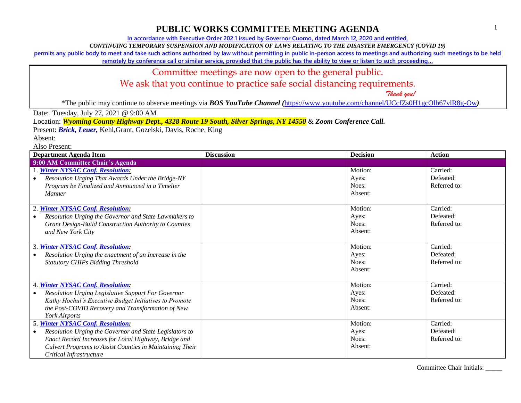**In accordance with Executive Order 202.1 issued by Governor Cuomo, dated March 12, 2020 and entitled,**

*CONTINUING TEMPORARY SUSPENSION AND MODIFICATION OF LAWS RELATING TO THE DISASTER EMERGENCY (COVID 19)*

**permits any public body to meet and take such actions authorized by law without permitting in public in-person access to meetings and authorizing such meetings to be held** 

**remotely by conference call or similar service, provided that the public has the ability to view or listen to such proceeding…**

#### Committee meetings are now open to the general public.

#### We ask that you continue to practice safe social distancing requirements.

 *Thank you!*

\*The public may continue to observe meetings via *BOS YouTube Channel (*<https://www.youtube.com/channel/UCcfZs0H1gcOlb67vlR8g-Ow>*)*

Date: Tuesday, July 27, 2021 @ 9:00 AM

Location: *Wyoming County Highway Dept., 4328 Route 19 South, Silver Springs, NY 14550* & *Zoom Conference Call.*

Present: *Brick, Leuer,* Kehl,Grant, Gozelski, Davis, Roche, King

Absent:

Also Present:

| <b>Department Agenda Item</b>                                                                                                                                                                                                                            | <b>Discussion</b> | <b>Decision</b>                      | <b>Action</b>                         |
|----------------------------------------------------------------------------------------------------------------------------------------------------------------------------------------------------------------------------------------------------------|-------------------|--------------------------------------|---------------------------------------|
| 9:00 AM Committee Chair's Agenda                                                                                                                                                                                                                         |                   |                                      |                                       |
| 1. Winter NYSAC Conf. Resolution:<br>Resolution Urging That Awards Under the Bridge-NY<br>Program be Finalized and Announced in a Timelier<br><i>Manner</i>                                                                                              |                   | Motion:<br>Ayes:<br>Noes:<br>Absent: | Carried:<br>Defeated:<br>Referred to: |
| 2. Winter NYSAC Conf. Resolution:<br>Resolution Urging the Governor and State Lawmakers to<br><b>Grant Design-Build Construction Authority to Counties</b><br>and New York City                                                                          |                   | Motion:<br>Ayes:<br>Noes:<br>Absent: | Carried:<br>Defeated:<br>Referred to: |
| <b>Winter NYSAC Conf. Resolution:</b><br>3.<br>Resolution Urging the enactment of an Increase in the<br><b>Statutory CHIPs Bidding Threshold</b>                                                                                                         |                   | Motion:<br>Ayes:<br>Noes:<br>Absent: | Carried:<br>Defeated:<br>Referred to: |
| 4. Winter NYSAC Conf. Resolution:<br>Resolution Urging Legislative Support For Governor<br>Kathy Hochul's Executive Budget Initiatives to Promote<br>the Post-COVID Recovery and Transformation of New<br>York Airports                                  |                   | Motion:<br>Ayes:<br>Noes:<br>Absent: | Carried:<br>Defeated:<br>Referred to: |
| 5. Winter NYSAC Conf. Resolution:<br>Resolution Urging the Governor and State Legislators to<br>$\bullet$<br>Enact Record Increases for Local Highway, Bridge and<br>Culvert Programs to Assist Counties in Maintaining Their<br>Critical Infrastructure |                   | Motion:<br>Ayes:<br>Noes:<br>Absent: | Carried:<br>Defeated:<br>Referred to: |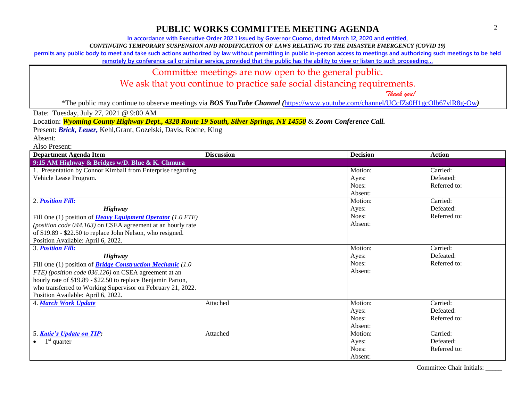**In accordance with Executive Order 202.1 issued by Governor Cuomo, dated March 12, 2020 and entitled,**

*CONTINUING TEMPORARY SUSPENSION AND MODIFICATION OF LAWS RELATING TO THE DISASTER EMERGENCY (COVID 19)*

**permits any public body to meet and take such actions authorized by law without permitting in public in-person access to meetings and authorizing such meetings to be held** 

**remotely by conference call or similar service, provided that the public has the ability to view or listen to such proceeding…**

#### Committee meetings are now open to the general public.

We ask that you continue to practice safe social distancing requirements.

 *Thank you!*

\*The public may continue to observe meetings via *BOS YouTube Channel (*<https://www.youtube.com/channel/UCcfZs0H1gcOlb67vlR8g-Ow>*)*

Date: Tuesday, July 27, 2021 @ 9:00 AM

Location: *Wyoming County Highway Dept., 4328 Route 19 South, Silver Springs, NY 14550* & *Zoom Conference Call.*

Present: *Brick, Leuer,* Kehl,Grant, Gozelski, Davis, Roche, King

Absent:

Also Present:

| <b>Department Agenda Item</b>                                      | <b>Discussion</b> | <b>Decision</b> | <b>Action</b> |
|--------------------------------------------------------------------|-------------------|-----------------|---------------|
| 9:15 AM Highway & Bridges w/D. Blue & K. Chmura                    |                   |                 |               |
| 1. Presentation by Connor Kimball from Enterprise regarding        |                   | Motion:         | Carried:      |
| Vehicle Lease Program.                                             |                   | Ayes:           | Defeated:     |
|                                                                    |                   | Noes:           | Referred to:  |
|                                                                    |                   | Absent:         |               |
| 2. Position Fill:                                                  |                   | Motion:         | Carried:      |
| Highway                                                            |                   | Ayes:           | Defeated:     |
| Fill One (1) position of <b>Heavy Equipment Operator</b> (1.0 FTE) |                   | Noes:           | Referred to:  |
| (position code 044.163) on CSEA agreement at an hourly rate        |                   | Absent:         |               |
| of \$19.89 - \$22.50 to replace John Nelson, who resigned.         |                   |                 |               |
| Position Available: April 6, 2022.                                 |                   |                 |               |
| <b>3. Position Fill:</b>                                           |                   | Motion:         | Carried:      |
| Highway                                                            |                   | Ayes:           | Defeated:     |
| Fill One (1) position of <b>Bridge Construction Mechanic</b> (1.0) |                   | Noes:           | Referred to:  |
| FTE) (position code 036.126) on CSEA agreement at an               |                   | Absent:         |               |
| hourly rate of \$19.89 - \$22.50 to replace Benjamin Parton,       |                   |                 |               |
| who transferred to Working Supervisor on February 21, 2022.        |                   |                 |               |
| Position Available: April 6, 2022.                                 |                   |                 |               |
| 4. March Work Update                                               | Attached          | Motion:         | Carried:      |
|                                                                    |                   | Ayes:           | Defeated:     |
|                                                                    |                   | Noes:           | Referred to:  |
|                                                                    |                   | Absent:         |               |
| 5. Katie's Update on TIP:                                          | Attached          | Motion:         | Carried:      |
| $1st$ quarter                                                      |                   | Ayes:           | Defeated:     |
|                                                                    |                   | Noes:           | Referred to:  |
|                                                                    |                   | Absent:         |               |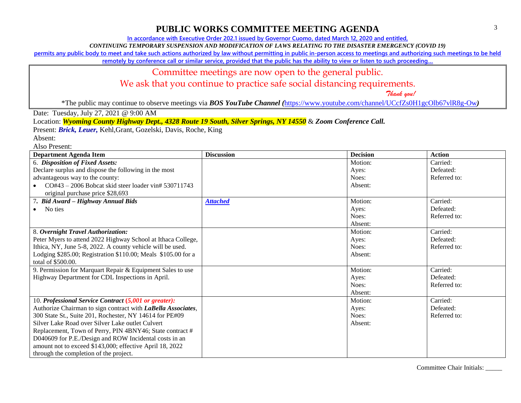**In accordance with Executive Order 202.1 issued by Governor Cuomo, dated March 12, 2020 and entitled,**

*CONTINUING TEMPORARY SUSPENSION AND MODIFICATION OF LAWS RELATING TO THE DISASTER EMERGENCY (COVID 19)*

**permits any public body to meet and take such actions authorized by law without permitting in public in-person access to meetings and authorizing such meetings to be held** 

**remotely by conference call or similar service, provided that the public has the ability to view or listen to such proceeding…**

#### Committee meetings are now open to the general public.

We ask that you continue to practice safe social distancing requirements.

 *Thank you!*

\*The public may continue to observe meetings via *BOS YouTube Channel (*<https://www.youtube.com/channel/UCcfZs0H1gcOlb67vlR8g-Ow>*)*

Date: Tuesday, July 27, 2021 @ 9:00 AM

Location: *Wyoming County Highway Dept., 4328 Route 19 South, Silver Springs, NY 14550* & *Zoom Conference Call.*

Present: *Brick, Leuer,* Kehl,Grant, Gozelski, Davis, Roche, King

Absent:

Also Present:

| <b>Department Agenda Item</b>                                 | <b>Discussion</b> | <b>Decision</b> | <b>Action</b> |
|---------------------------------------------------------------|-------------------|-----------------|---------------|
| 6. Disposition of Fixed Assets:                               |                   | Motion:         | Carried:      |
| Declare surplus and dispose the following in the most         |                   | Ayes:           | Defeated:     |
| advantageous way to the county:                               |                   | Noes:           | Referred to:  |
| CO#43 – 2006 Bobcat skid steer loader vin# 530711743          |                   | Absent:         |               |
| original purchase price \$28,693                              |                   |                 |               |
| <b>Bid Award - Highway Annual Bids</b>                        | <b>Attached</b>   | Motion:         | Carried:      |
| No ties                                                       |                   | Ayes:           | Defeated:     |
|                                                               |                   | Noes:           | Referred to:  |
|                                                               |                   | Absent:         |               |
| 8. Overnight Travel Authorization:                            |                   | Motion:         | Carried:      |
| Peter Myers to attend 2022 Highway School at Ithaca College,  |                   | Ayes:           | Defeated:     |
| Ithica, NY, June 5-8, 2022. A county vehicle will be used.    |                   | Noes:           | Referred to:  |
| Lodging \$285.00; Registration \$110.00; Meals \$105.00 for a |                   | Absent:         |               |
| total of \$500.00.                                            |                   |                 |               |
| 9. Permission for Marquart Repair & Equipment Sales to use    |                   | Motion:         | Carried:      |
| Highway Department for CDL Inspections in April.              |                   | Ayes:           | Defeated:     |
|                                                               |                   | Noes:           | Referred to:  |
|                                                               |                   | Absent:         |               |
| 10. Professional Service Contract (5,001 or greater):         |                   | Motion:         | Carried:      |
| Authorize Chairman to sign contract with LaBella Associates,  |                   | Ayes:           | Defeated:     |
| 300 State St., Suite 201, Rochester, NY 14614 for PE#09       |                   | Noes:           | Referred to:  |
| Silver Lake Road over Silver Lake outlet Culvert              |                   | Absent:         |               |
| Replacement, Town of Perry, PIN 4BNY46; State contract #      |                   |                 |               |
| D040609 for P.E./Design and ROW Incidental costs in an        |                   |                 |               |
| amount not to exceed \$143,000; effective April 18, 2022      |                   |                 |               |
| through the completion of the project.                        |                   |                 |               |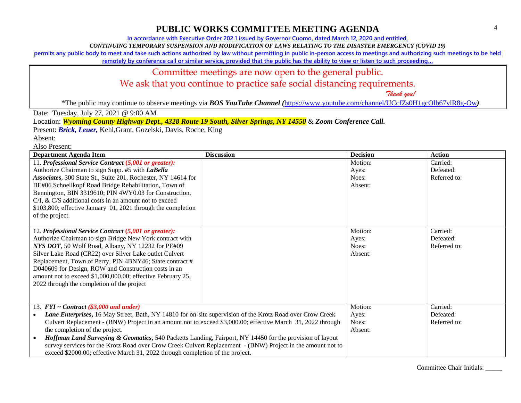**In accordance with Executive Order 202.1 issued by Governor Cuomo, dated March 12, 2020 and entitled,**

*CONTINUING TEMPORARY SUSPENSION AND MODIFICATION OF LAWS RELATING TO THE DISASTER EMERGENCY (COVID 19)*

**permits any public body to meet and take such actions authorized by law without permitting in public in-person access to meetings and authorizing such meetings to be held** 

**remotely by conference call or similar service, provided that the public has the ability to view or listen to such proceeding…**

## Committee meetings are now open to the general public.

We ask that you continue to practice safe social distancing requirements.

 *Thank you!*

\*The public may continue to observe meetings via *BOS YouTube Channel (*<https://www.youtube.com/channel/UCcfZs0H1gcOlb67vlR8g-Ow>*)*

Date: Tuesday, July 27, 2021 @ 9:00 AM

Location: *Wyoming County Highway Dept., 4328 Route 19 South, Silver Springs, NY 14550* & *Zoom Conference Call.*

Present: *Brick, Leuer,* Kehl,Grant, Gozelski, Davis, Roche, King

Absent:

Also Present:

| <b>Department Agenda Item</b>                                                                                         | <b>Discussion</b> | <b>Decision</b> | <b>Action</b> |
|-----------------------------------------------------------------------------------------------------------------------|-------------------|-----------------|---------------|
| 11. Professional Service Contract (5,001 or greater):                                                                 |                   | Motion:         | Carried:      |
| Authorize Chairman to sign Supp. #5 with LaBella                                                                      |                   | Ayes:           | Defeated:     |
| Associates, 300 State St., Suite 201, Rochester, NY 14614 for                                                         |                   | Noes:           | Referred to:  |
| BE#06 Schoellkopf Road Bridge Rehabilitation, Town of                                                                 |                   | Absent:         |               |
| Bennington, BIN 3319610; PIN 4WY0.03 for Construction,                                                                |                   |                 |               |
| $C/I$ , & $C/S$ additional costs in an amount not to exceed                                                           |                   |                 |               |
| \$103,800; effective January 01, 2021 through the completion                                                          |                   |                 |               |
| of the project.                                                                                                       |                   |                 |               |
|                                                                                                                       |                   |                 |               |
| 12. Professional Service Contract (5,001 or greater):                                                                 |                   | Motion:         | Carried:      |
| Authorize Chairman to sign Bridge New York contract with                                                              |                   | Ayes:           | Defeated:     |
| NYS DOT, 50 Wolf Road, Albany, NY 12232 for PE#09                                                                     |                   | Noes:           | Referred to:  |
| Silver Lake Road (CR22) over Silver Lake outlet Culvert                                                               |                   | Absent:         |               |
| Replacement, Town of Perry, PIN 4BNY46; State contract #                                                              |                   |                 |               |
| D040609 for Design, ROW and Construction costs in an                                                                  |                   |                 |               |
| amount not to exceed \$1,000,000.00; effective February 25,                                                           |                   |                 |               |
| 2022 through the completion of the project                                                                            |                   |                 |               |
|                                                                                                                       |                   |                 |               |
| 13. $FYI \sim Contract$ (\$3,000 and under)                                                                           |                   | Motion:         | Carried:      |
| Lane Enterprises, 16 May Street, Bath, NY 14810 for on-site supervision of the Krotz Road over Crow Creek             |                   | Ayes:           | Defeated:     |
| Culvert Replacement - (BNW) Project in an amount not to exceed \$3,000.00; effective March 31, 2022 through           |                   | Noes:           | Referred to:  |
| the completion of the project.                                                                                        |                   | Absent:         |               |
| Hoffman Land Surveying & Geomatics, 540 Packetts Landing, Fairport, NY 14450 for the provision of layout<br>$\bullet$ |                   |                 |               |
| survey services for the Krotz Road over Crow Creek Culvert Replacement - (BNW) Project in the amount not to           |                   |                 |               |
| exceed \$2000.00; effective March 31, 2022 through completion of the project.                                         |                   |                 |               |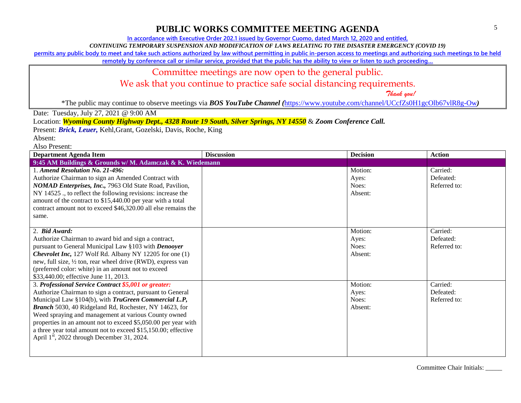**In accordance with Executive Order 202.1 issued by Governor Cuomo, dated March 12, 2020 and entitled,**

*CONTINUING TEMPORARY SUSPENSION AND MODIFICATION OF LAWS RELATING TO THE DISASTER EMERGENCY (COVID 19)*

**permits any public body to meet and take such actions authorized by law without permitting in public in-person access to meetings and authorizing such meetings to be held** 

**remotely by conference call or similar service, provided that the public has the ability to view or listen to such proceeding…**

#### Committee meetings are now open to the general public.

### We ask that you continue to practice safe social distancing requirements.

 *Thank you!*

\*The public may continue to observe meetings via *BOS YouTube Channel (*<https://www.youtube.com/channel/UCcfZs0H1gcOlb67vlR8g-Ow>*)*

Date: Tuesday, July 27, 2021 @ 9:00 AM

Location: *Wyoming County Highway Dept., 4328 Route 19 South, Silver Springs, NY 14550* & *Zoom Conference Call.*

Present: *Brick, Leuer,* Kehl,Grant, Gozelski, Davis, Roche, King

Absent:

Also Present:

| <b>Department Agenda Item</b>                                                                                                                                                                                                                                                                                                                                                                                                                                                                       | <b>Discussion</b> | <b>Decision</b>                      | <b>Action</b>                         |
|-----------------------------------------------------------------------------------------------------------------------------------------------------------------------------------------------------------------------------------------------------------------------------------------------------------------------------------------------------------------------------------------------------------------------------------------------------------------------------------------------------|-------------------|--------------------------------------|---------------------------------------|
| 9:45 AM Buildings & Grounds w/ M. Adamczak & K. Wiedemann                                                                                                                                                                                                                                                                                                                                                                                                                                           |                   |                                      |                                       |
| 1. Amend Resolution No. 21-496:<br>Authorize Chairman to sign an Amended Contract with<br>NOMAD Enterprises, Inc., 7963 Old State Road, Pavilion,<br>NY 14525 ., to reflect the following revisions: increase the<br>amount of the contract to \$15,440.00 per year with a total<br>contract amount not to exceed \$46,320.00 all else remains the<br>same.                                                                                                                                         |                   | Motion:<br>Ayes:<br>Noes:<br>Absent: | Carried:<br>Defeated:<br>Referred to: |
| 2. Bid Award:<br>Authorize Chairman to award bid and sign a contract,<br>pursuant to General Municipal Law §103 with Denooyer<br><b>Chevrolet Inc, 127 Wolf Rd. Albany NY 12205 for one (1)</b><br>new, full size, 1/2 ton, rear wheel drive (RWD), express van<br>(preferred color: white) in an amount not to exceed<br>\$33,440.00; effective June 11, 2013.                                                                                                                                     |                   | Motion:<br>Ayes:<br>Noes:<br>Absent: | Carried:<br>Defeated:<br>Referred to: |
| 3. Professional Service Contract \$5,001 or greater:<br>Authorize Chairman to sign a contract, pursuant to General<br>Municipal Law §104(b), with <i>TruGreen Commercial L.P</i> ,<br>Branch 5030, 40 Ridgeland Rd, Rochester, NY 14623, for<br>Weed spraying and management at various County owned<br>properties in an amount not to exceed \$5,050.00 per year with<br>a three year total amount not to exceed \$15,150.00; effective<br>April 1 <sup>st</sup> , 2022 through December 31, 2024. |                   | Motion:<br>Ayes:<br>Noes:<br>Absent: | Carried:<br>Defeated:<br>Referred to: |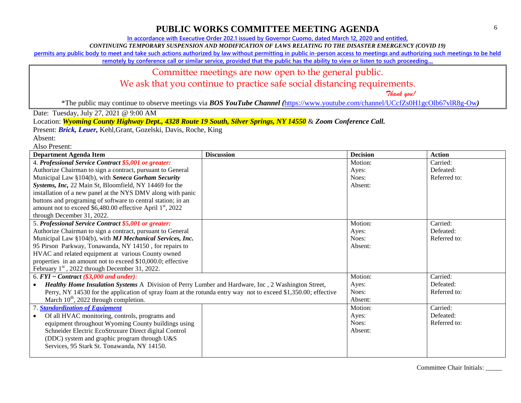**In accordance with Executive Order 202.1 issued by Governor Cuomo, dated March 12, 2020 and entitled,**

*CONTINUING TEMPORARY SUSPENSION AND MODIFICATION OF LAWS RELATING TO THE DISASTER EMERGENCY (COVID 19)*

**permits any public body to meet and take such actions authorized by law without permitting in public in-person access to meetings and authorizing such meetings to be held** 

**remotely by conference call or similar service, provided that the public has the ability to view or listen to such proceeding…**

#### Committee meetings are now open to the general public.

We ask that you continue to practice safe social distancing requirements.

 *Thank you!*

\*The public may continue to observe meetings via *BOS YouTube Channel (*<https://www.youtube.com/channel/UCcfZs0H1gcOlb67vlR8g-Ow>*)*

Date: Tuesday, July 27, 2021 @ 9:00 AM

Location: *Wyoming County Highway Dept., 4328 Route 19 South, Silver Springs, NY 14550* & *Zoom Conference Call.*

Present: *Brick, Leuer,* Kehl,Grant, Gozelski, Davis, Roche, King

Absent:

Also Present:

| <b>Department Agenda Item</b>                                                                                  | <b>Discussion</b> | <b>Decision</b> | <b>Action</b> |
|----------------------------------------------------------------------------------------------------------------|-------------------|-----------------|---------------|
| 4. Professional Service Contract \$5,001 or greater:                                                           |                   | Motion:         | Carried:      |
| Authorize Chairman to sign a contract, pursuant to General                                                     |                   | Ayes:           | Defeated:     |
| Municipal Law §104(b), with Seneca Gorham Security                                                             |                   | Noes:           | Referred to:  |
| Systems, Inc, 22 Main St, Bloomfield, NY 14469 for the                                                         |                   | Absent:         |               |
| installation of a new panel at the NYS DMV along with panic                                                    |                   |                 |               |
| buttons and programing of software to central station; in an                                                   |                   |                 |               |
| amount not to exceed \$6,480.00 effective April 1 <sup>st</sup> , 2022                                         |                   |                 |               |
| through December 31, 2022.                                                                                     |                   |                 |               |
| 5. Professional Service Contract \$5,001 or greater:                                                           |                   | Motion:         | Carried:      |
| Authorize Chairman to sign a contract, pursuant to General                                                     |                   | Ayes:           | Defeated:     |
| Municipal Law §104(b), with MJ Mechanical Services, Inc.                                                       |                   | Noes:           | Referred to:  |
| 95 Pirson Parkway, Tonawanda, NY 14150, for repairs to                                                         |                   | Absent:         |               |
| HVAC and related equipment at various County owned                                                             |                   |                 |               |
| properties in an amount not to exceed \$10,000.0; effective                                                    |                   |                 |               |
| February 1 <sup>st</sup> , 2022 through December 31, 2022.                                                     |                   |                 |               |
| 6. FYI ~ Contract $(\$3,000$ and under):                                                                       |                   | Motion:         | Carried:      |
| Healthy Home Insulation Systems A Division of Perry Lumber and Hardware, Inc., 2 Washington Street,            |                   | Ayes:           | Defeated:     |
| Perry, NY 14530 for the application of spray foam at the rotunda entry way not to exceed \$1,350.00; effective |                   | Noes:           | Referred to:  |
| March 10 <sup>th</sup> , 2022 through completion.                                                              |                   | Absent:         |               |
| 7. Standardization of Equipment                                                                                |                   | Motion:         | Carried:      |
| Of all HVAC monitoring, controls, programs and                                                                 |                   | Ayes:           | Defeated:     |
| equipment throughout Wyoming County buildings using                                                            |                   | Noes:           | Referred to:  |
| Schneider Electric EcoStruxure Direct digital Control                                                          |                   | Absent:         |               |
| (DDC) system and graphic program through U&S                                                                   |                   |                 |               |
| Services, 95 Stark St. Tonawanda, NY 14150.                                                                    |                   |                 |               |
|                                                                                                                |                   |                 |               |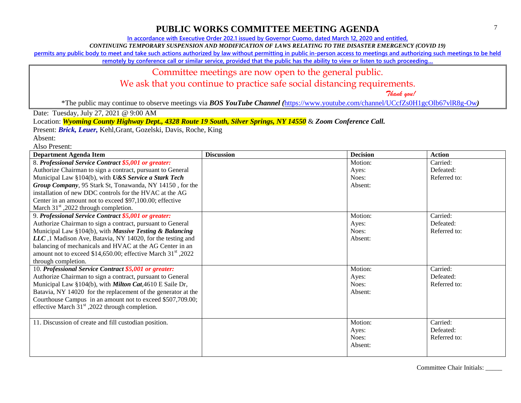**In accordance with Executive Order 202.1 issued by Governor Cuomo, dated March 12, 2020 and entitled,**

*CONTINUING TEMPORARY SUSPENSION AND MODIFICATION OF LAWS RELATING TO THE DISASTER EMERGENCY (COVID 19)*

**permits any public body to meet and take such actions authorized by law without permitting in public in-person access to meetings and authorizing such meetings to be held** 

**remotely by conference call or similar service, provided that the public has the ability to view or listen to such proceeding…**

#### Committee meetings are now open to the general public.

We ask that you continue to practice safe social distancing requirements.

 *Thank you!*

\*The public may continue to observe meetings via *BOS YouTube Channel (*<https://www.youtube.com/channel/UCcfZs0H1gcOlb67vlR8g-Ow>*)*

Date: Tuesday, July 27, 2021 @ 9:00 AM

Location: *Wyoming County Highway Dept., 4328 Route 19 South, Silver Springs, NY 14550* & *Zoom Conference Call.*

Present: *Brick, Leuer,* Kehl,Grant, Gozelski, Davis, Roche, King

Absent:

Also Present:

| <b>Department Agenda Item</b>                                    | <b>Discussion</b> | <b>Decision</b> | <b>Action</b> |
|------------------------------------------------------------------|-------------------|-----------------|---------------|
| 8. Professional Service Contract \$5,001 or greater:             |                   | Motion:         | Carried:      |
| Authorize Chairman to sign a contract, pursuant to General       |                   | Ayes:           | Defeated:     |
| Municipal Law §104(b), with U&S Service a Stark Tech             |                   | Noes:           | Referred to:  |
| Group Company, 95 Stark St, Tonawanda, NY 14150, for the         |                   | Absent:         |               |
| installation of new DDC controls for the HVAC at the AG          |                   |                 |               |
| Center in an amount not to exceed \$97,100.00; effective         |                   |                 |               |
| March $31st$ , 2022 through completion.                          |                   |                 |               |
| 9. Professional Service Contract \$5,001 or greater:             |                   | Motion:         | Carried:      |
| Authorize Chairman to sign a contract, pursuant to General       |                   | Ayes:           | Defeated:     |
| Municipal Law §104(b), with Massive Testing & Balancing          |                   | Noes:           | Referred to:  |
| LLC, 1 Madison Ave, Batavia, NY 14020, for the testing and       |                   | Absent:         |               |
| balancing of mechanicals and HVAC at the AG Center in an         |                   |                 |               |
| amount not to exceed \$14,650.00; effective March $31st$ , 2022  |                   |                 |               |
| through completion.                                              |                   |                 |               |
| 10. Professional Service Contract \$5,001 or greater:            |                   | Motion:         | Carried:      |
| Authorize Chairman to sign a contract, pursuant to General       |                   | Ayes:           | Defeated:     |
| Municipal Law §104(b), with <i>Milton Cat</i> , 4610 E Saile Dr, |                   | Noes:           | Referred to:  |
| Batavia, NY 14020 for the replacement of the generator at the    |                   | Absent:         |               |
| Courthouse Campus in an amount not to exceed \$507,709.00;       |                   |                 |               |
| effective March $31st$ , 2022 through completion.                |                   |                 |               |
|                                                                  |                   |                 |               |
| 11. Discussion of create and fill custodian position.            |                   | Motion:         | Carried:      |
|                                                                  |                   | Ayes:           | Defeated:     |
|                                                                  |                   | Noes:           | Referred to:  |
|                                                                  |                   | Absent:         |               |
|                                                                  |                   |                 |               |